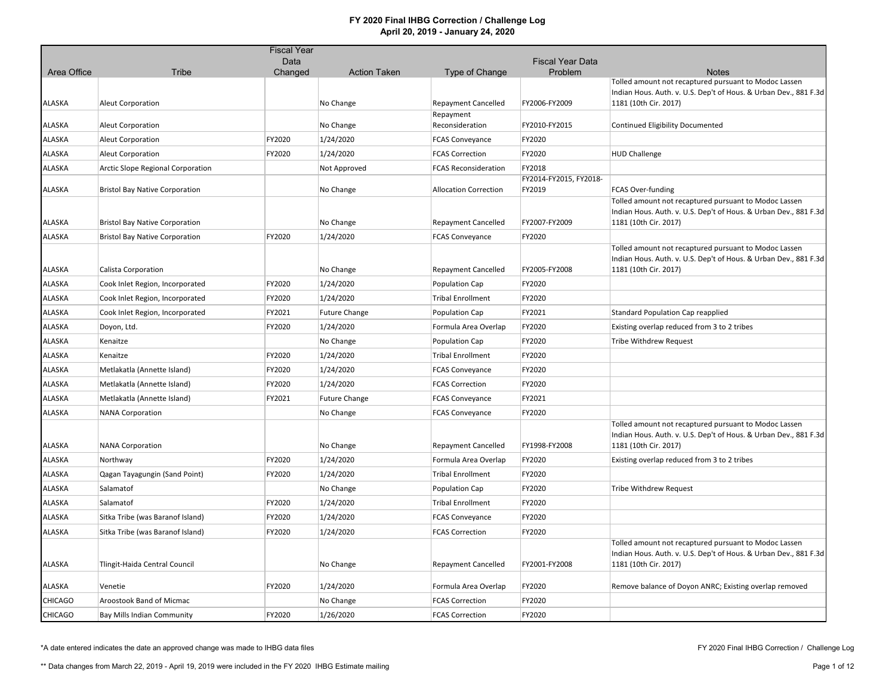|                |                                       | <b>Fiscal Year</b> |                      |                              |                                  |                                                                                                                                                    |
|----------------|---------------------------------------|--------------------|----------------------|------------------------------|----------------------------------|----------------------------------------------------------------------------------------------------------------------------------------------------|
|                |                                       | Data               |                      |                              | <b>Fiscal Year Data</b>          |                                                                                                                                                    |
| Area Office    | <b>Tribe</b>                          | Changed            | <b>Action Taken</b>  | Type of Change               | Problem                          | <b>Notes</b><br>Tolled amount not recaptured pursuant to Modoc Lassen                                                                              |
|                |                                       |                    |                      |                              |                                  | Indian Hous. Auth. v. U.S. Dep't of Hous. & Urban Dev., 881 F.3d                                                                                   |
| ALASKA         | <b>Aleut Corporation</b>              |                    | No Change            | <b>Repayment Cancelled</b>   | FY2006-FY2009                    | 1181 (10th Cir. 2017)                                                                                                                              |
| ALASKA         | <b>Aleut Corporation</b>              |                    | No Change            | Repayment<br>Reconsideration | FY2010-FY2015                    | Continued Eligibility Documented                                                                                                                   |
| ALASKA         | <b>Aleut Corporation</b>              | FY2020             | 1/24/2020            | <b>FCAS Conveyance</b>       | FY2020                           |                                                                                                                                                    |
| ALASKA         | <b>Aleut Corporation</b>              | FY2020             | 1/24/2020            | <b>FCAS Correction</b>       | FY2020                           | <b>HUD Challenge</b>                                                                                                                               |
| ALASKA         | Arctic Slope Regional Corporation     |                    | Not Approved         | <b>FCAS Reconsideration</b>  | FY2018                           |                                                                                                                                                    |
| ALASKA         | <b>Bristol Bay Native Corporation</b> |                    | No Change            | <b>Allocation Correction</b> | FY2014-FY2015, FY2018-<br>FY2019 | FCAS Over-funding                                                                                                                                  |
| ALASKA         | <b>Bristol Bay Native Corporation</b> |                    | No Change            | <b>Repayment Cancelled</b>   | FY2007-FY2009                    | Tolled amount not recaptured pursuant to Modoc Lassen<br>Indian Hous. Auth. v. U.S. Dep't of Hous. & Urban Dev., 881 F.3d<br>1181 (10th Cir. 2017) |
| ALASKA         | <b>Bristol Bay Native Corporation</b> | FY2020             | 1/24/2020            | <b>FCAS Conveyance</b>       | FY2020                           |                                                                                                                                                    |
| ALASKA         | Calista Corporation                   |                    | No Change            | <b>Repayment Cancelled</b>   | FY2005-FY2008                    | Tolled amount not recaptured pursuant to Modoc Lassen<br>Indian Hous. Auth. v. U.S. Dep't of Hous. & Urban Dev., 881 F.3d<br>1181 (10th Cir. 2017) |
| ALASKA         | Cook Inlet Region, Incorporated       | FY2020             | 1/24/2020            | Population Cap               | FY2020                           |                                                                                                                                                    |
| ALASKA         | Cook Inlet Region, Incorporated       | FY2020             | 1/24/2020            | <b>Tribal Enrollment</b>     | FY2020                           |                                                                                                                                                    |
| <b>ALASKA</b>  | Cook Inlet Region, Incorporated       | FY2021             | <b>Future Change</b> | Population Cap               | FY2021                           | <b>Standard Population Cap reapplied</b>                                                                                                           |
| ALASKA         | Doyon, Ltd.                           | FY2020             | 1/24/2020            | Formula Area Overlap         | FY2020                           | Existing overlap reduced from 3 to 2 tribes                                                                                                        |
| ALASKA         | Kenaitze                              |                    | No Change            | <b>Population Cap</b>        | FY2020                           | Tribe Withdrew Request                                                                                                                             |
| ALASKA         | Kenaitze                              | FY2020             | 1/24/2020            | <b>Tribal Enrollment</b>     | FY2020                           |                                                                                                                                                    |
| ALASKA         | Metlakatla (Annette Island)           | FY2020             | 1/24/2020            | <b>FCAS Conveyance</b>       | FY2020                           |                                                                                                                                                    |
| ALASKA         | Metlakatla (Annette Island)           | FY2020             | 1/24/2020            | <b>FCAS Correction</b>       | FY2020                           |                                                                                                                                                    |
| ALASKA         | Metlakatla (Annette Island)           | FY2021             | <b>Future Change</b> | <b>FCAS Conveyance</b>       | FY2021                           |                                                                                                                                                    |
| <b>ALASKA</b>  | <b>NANA Corporation</b>               |                    | No Change            | <b>FCAS Conveyance</b>       | FY2020                           |                                                                                                                                                    |
| ALASKA         | <b>NANA Corporation</b>               |                    | No Change            | <b>Repayment Cancelled</b>   | FY1998-FY2008                    | Tolled amount not recaptured pursuant to Modoc Lassen<br>Indian Hous. Auth. v. U.S. Dep't of Hous. & Urban Dev., 881 F.3d<br>1181 (10th Cir. 2017) |
| ALASKA         | Northway                              | FY2020             | 1/24/2020            | Formula Area Overlap         | FY2020                           | Existing overlap reduced from 3 to 2 tribes                                                                                                        |
| ALASKA         | Qagan Tayagungin (Sand Point)         | FY2020             | 1/24/2020            | <b>Tribal Enrollment</b>     | FY2020                           |                                                                                                                                                    |
| ALASKA         | Salamatof                             |                    | No Change            | Population Cap               | FY2020                           | Tribe Withdrew Request                                                                                                                             |
| ALASKA         | Salamatof                             | FY2020             | 1/24/2020            | <b>Tribal Enrollment</b>     | FY2020                           |                                                                                                                                                    |
| ALASKA         | Sitka Tribe (was Baranof Island)      | FY2020             | 1/24/2020            | <b>FCAS Conveyance</b>       | FY2020                           |                                                                                                                                                    |
| ALASKA         | Sitka Tribe (was Baranof Island)      | FY2020             | 1/24/2020            | <b>FCAS Correction</b>       | FY2020                           |                                                                                                                                                    |
| ALASKA         | Tlingit-Haida Central Council         |                    | No Change            | <b>Repayment Cancelled</b>   | FY2001-FY2008                    | Tolled amount not recaptured pursuant to Modoc Lassen<br>Indian Hous. Auth. v. U.S. Dep't of Hous. & Urban Dev., 881 F.3d<br>1181 (10th Cir. 2017) |
| ALASKA         | Venetie                               | FY2020             | 1/24/2020            | Formula Area Overlap         | FY2020                           | Remove balance of Doyon ANRC; Existing overlap removed                                                                                             |
| <b>CHICAGO</b> | Aroostook Band of Micmac              |                    | No Change            | <b>FCAS Correction</b>       | FY2020                           |                                                                                                                                                    |
| <b>CHICAGO</b> | Bay Mills Indian Community            | FY2020             | 1/26/2020            | <b>FCAS Correction</b>       | FY2020                           |                                                                                                                                                    |

\*A date entered indicates the date an approved change was made to IHBG data files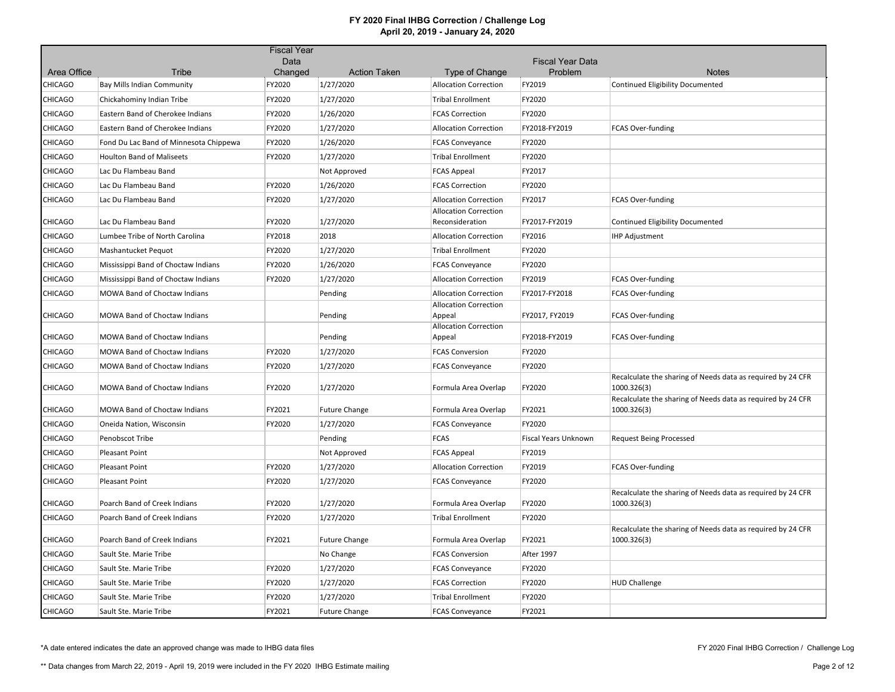|                               |                                        | <b>Fiscal Year</b> |                                  |                                                              |                             |                                                                            |
|-------------------------------|----------------------------------------|--------------------|----------------------------------|--------------------------------------------------------------|-----------------------------|----------------------------------------------------------------------------|
|                               | <b>Tribe</b>                           | Data               |                                  |                                                              | <b>Fiscal Year Data</b>     | <b>Notes</b>                                                               |
| Area Office<br><b>CHICAGO</b> | <b>Bay Mills Indian Community</b>      | Changed<br>FY2020  | <b>Action Taken</b><br>1/27/2020 | Type of Change<br><b>Allocation Correction</b>               | Problem<br>FY2019           | <b>Continued Eligibility Documented</b>                                    |
| <b>CHICAGO</b>                | Chickahominy Indian Tribe              | FY2020             | 1/27/2020                        | <b>Tribal Enrollment</b>                                     | FY2020                      |                                                                            |
| <b>CHICAGO</b>                | Eastern Band of Cherokee Indians       | FY2020             | 1/26/2020                        | <b>FCAS Correction</b>                                       | FY2020                      |                                                                            |
| <b>CHICAGO</b>                | Eastern Band of Cherokee Indians       | FY2020             | 1/27/2020                        | <b>Allocation Correction</b>                                 | FY2018-FY2019               |                                                                            |
|                               |                                        | FY2020             |                                  |                                                              | FY2020                      | FCAS Over-funding                                                          |
| <b>CHICAGO</b>                | Fond Du Lac Band of Minnesota Chippewa |                    | 1/26/2020                        | <b>FCAS Conveyance</b>                                       |                             |                                                                            |
| <b>CHICAGO</b>                | <b>Houlton Band of Maliseets</b>       | FY2020             | 1/27/2020                        | <b>Tribal Enrollment</b>                                     | FY2020                      |                                                                            |
| <b>CHICAGO</b>                | Lac Du Flambeau Band                   |                    | Not Approved                     | <b>FCAS Appeal</b>                                           | FY2017                      |                                                                            |
| <b>CHICAGO</b>                | Lac Du Flambeau Band                   | FY2020             | 1/26/2020                        | <b>FCAS Correction</b>                                       | FY2020                      |                                                                            |
| <b>CHICAGO</b>                | Lac Du Flambeau Band                   | FY2020             | 1/27/2020                        | <b>Allocation Correction</b><br><b>Allocation Correction</b> | FY2017                      | FCAS Over-funding                                                          |
| <b>CHICAGO</b>                | Lac Du Flambeau Band                   | FY2020             | 1/27/2020                        | Reconsideration                                              | FY2017-FY2019               | <b>Continued Eligibility Documented</b>                                    |
| <b>CHICAGO</b>                | Lumbee Tribe of North Carolina         | FY2018             | 2018                             | <b>Allocation Correction</b>                                 | FY2016                      | <b>IHP Adjustment</b>                                                      |
| <b>CHICAGO</b>                | Mashantucket Pequot                    | FY2020             | 1/27/2020                        | <b>Tribal Enrollment</b>                                     | FY2020                      |                                                                            |
| <b>CHICAGO</b>                | Mississippi Band of Choctaw Indians    | FY2020             | 1/26/2020                        | <b>FCAS Conveyance</b>                                       | FY2020                      |                                                                            |
| <b>CHICAGO</b>                | Mississippi Band of Choctaw Indians    | FY2020             | 1/27/2020                        | <b>Allocation Correction</b>                                 | FY2019                      | FCAS Over-funding                                                          |
| <b>CHICAGO</b>                | MOWA Band of Choctaw Indians           |                    | Pending                          | <b>Allocation Correction</b>                                 | FY2017-FY2018               | FCAS Over-funding                                                          |
| <b>CHICAGO</b>                | MOWA Band of Choctaw Indians           |                    | Pending                          | <b>Allocation Correction</b><br>Appeal                       | FY2017, FY2019              | FCAS Over-funding                                                          |
|                               |                                        |                    |                                  | <b>Allocation Correction</b>                                 |                             |                                                                            |
| <b>CHICAGO</b>                | MOWA Band of Choctaw Indians           |                    | Pending                          | Appeal                                                       | FY2018-FY2019               | FCAS Over-funding                                                          |
| <b>CHICAGO</b>                | <b>MOWA Band of Choctaw Indians</b>    | FY2020             | 1/27/2020                        | <b>FCAS Conversion</b>                                       | FY2020                      |                                                                            |
| <b>CHICAGO</b>                | MOWA Band of Choctaw Indians           | FY2020             | 1/27/2020                        | <b>FCAS Conveyance</b>                                       | FY2020                      |                                                                            |
| <b>CHICAGO</b>                | MOWA Band of Choctaw Indians           | FY2020             | 1/27/2020                        | Formula Area Overlap                                         | FY2020                      | Recalculate the sharing of Needs data as required by 24 CFR<br>1000.326(3) |
| <b>CHICAGO</b>                | <b>MOWA Band of Choctaw Indians</b>    | FY2021             | <b>Future Change</b>             | Formula Area Overlap                                         | FY2021                      | Recalculate the sharing of Needs data as required by 24 CFR<br>1000.326(3) |
| <b>CHICAGO</b>                | Oneida Nation, Wisconsin               | FY2020             | 1/27/2020                        | <b>FCAS Conveyance</b>                                       | FY2020                      |                                                                            |
| <b>CHICAGO</b>                | Penobscot Tribe                        |                    | Pending                          | <b>FCAS</b>                                                  | <b>Fiscal Years Unknown</b> | <b>Request Being Processed</b>                                             |
| <b>CHICAGO</b>                | <b>Pleasant Point</b>                  |                    | Not Approved                     | <b>FCAS Appeal</b>                                           | FY2019                      |                                                                            |
| <b>CHICAGO</b>                | Pleasant Point                         | FY2020             | 1/27/2020                        | <b>Allocation Correction</b>                                 | FY2019                      | FCAS Over-funding                                                          |
| <b>CHICAGO</b>                | <b>Pleasant Point</b>                  | FY2020             | 1/27/2020                        | <b>FCAS Conveyance</b>                                       | FY2020                      |                                                                            |
| <b>CHICAGO</b>                | Poarch Band of Creek Indians           | FY2020             | 1/27/2020                        | Formula Area Overlap                                         | FY2020                      | Recalculate the sharing of Needs data as required by 24 CFR<br>1000.326(3) |
| <b>CHICAGO</b>                | Poarch Band of Creek Indians           | FY2020             | 1/27/2020                        | <b>Tribal Enrollment</b>                                     | FY2020                      |                                                                            |
|                               |                                        |                    |                                  |                                                              |                             | Recalculate the sharing of Needs data as required by 24 CFR                |
| CHICAGO                       | Poarch Band of Creek Indians           | FY2021             | <b>Future Change</b>             | Formula Area Overlap                                         | FY2021                      | 1000.326(3)                                                                |
| <b>CHICAGO</b>                | Sault Ste. Marie Tribe                 |                    | No Change                        | <b>FCAS Conversion</b>                                       | <b>After 1997</b>           |                                                                            |
| <b>CHICAGO</b>                | Sault Ste. Marie Tribe                 | FY2020             | 1/27/2020                        | <b>FCAS Conveyance</b>                                       | FY2020                      |                                                                            |
| <b>CHICAGO</b>                | Sault Ste. Marie Tribe                 | FY2020             | 1/27/2020                        | <b>FCAS Correction</b>                                       | FY2020                      | <b>HUD Challenge</b>                                                       |
| <b>CHICAGO</b>                | Sault Ste. Marie Tribe                 | FY2020             | 1/27/2020                        | <b>Tribal Enrollment</b>                                     | FY2020                      |                                                                            |
| <b>CHICAGO</b>                | Sault Ste. Marie Tribe                 | FY2021             | <b>Future Change</b>             | <b>FCAS Conveyance</b>                                       | FY2021                      |                                                                            |

\*A date entered indicates the date an approved change was made to IHBG data files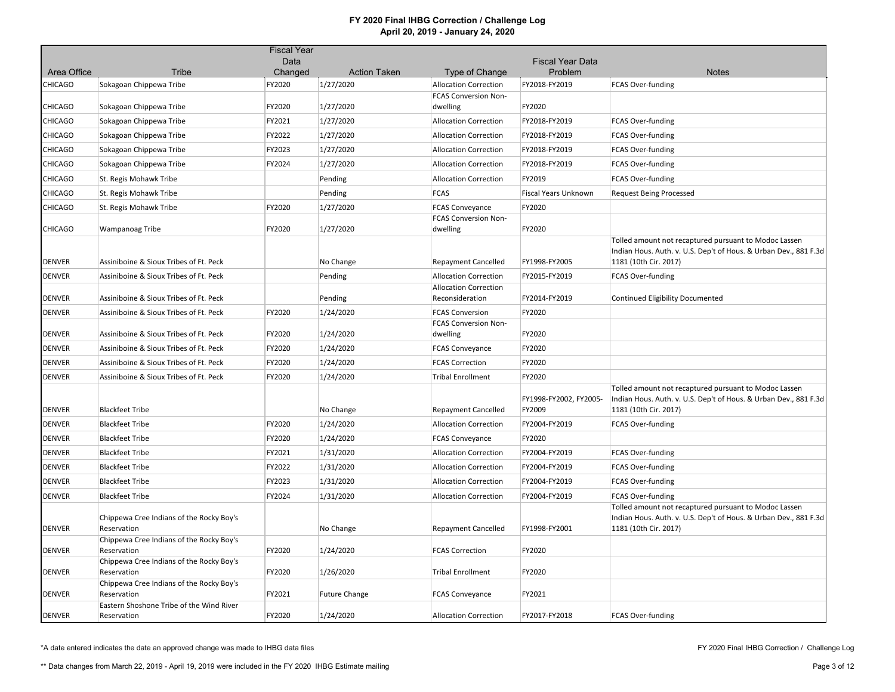|                |                                                         | <b>Fiscal Year</b> |                      |                                                       |                                  |                                                                                                                                                    |
|----------------|---------------------------------------------------------|--------------------|----------------------|-------------------------------------------------------|----------------------------------|----------------------------------------------------------------------------------------------------------------------------------------------------|
|                |                                                         | Data               |                      |                                                       | <b>Fiscal Year Data</b>          |                                                                                                                                                    |
| Area Office    | Tribe                                                   | Changed            | <b>Action Taken</b>  | Type of Change                                        | Problem                          | <b>Notes</b>                                                                                                                                       |
| <b>CHICAGO</b> | Sokagoan Chippewa Tribe                                 | FY2020             | 1/27/2020            | <b>Allocation Correction</b>                          | FY2018-FY2019                    | <b>FCAS Over-funding</b>                                                                                                                           |
| <b>CHICAGO</b> | Sokagoan Chippewa Tribe                                 | FY2020             | 1/27/2020            | FCAS Conversion Non-<br>dwelling                      | FY2020                           |                                                                                                                                                    |
| <b>CHICAGO</b> | Sokagoan Chippewa Tribe                                 | FY2021             | 1/27/2020            | <b>Allocation Correction</b>                          | FY2018-FY2019                    | FCAS Over-funding                                                                                                                                  |
| <b>CHICAGO</b> | Sokagoan Chippewa Tribe                                 | FY2022             | 1/27/2020            | <b>Allocation Correction</b>                          | FY2018-FY2019                    | FCAS Over-funding                                                                                                                                  |
| CHICAGO        | Sokagoan Chippewa Tribe                                 | FY2023             | 1/27/2020            | <b>Allocation Correction</b>                          | FY2018-FY2019                    | FCAS Over-funding                                                                                                                                  |
| <b>CHICAGO</b> | Sokagoan Chippewa Tribe                                 | FY2024             | 1/27/2020            | <b>Allocation Correction</b>                          | FY2018-FY2019                    | FCAS Over-funding                                                                                                                                  |
| <b>CHICAGO</b> | St. Regis Mohawk Tribe                                  |                    | Pending              | <b>Allocation Correction</b>                          | FY2019                           | FCAS Over-funding                                                                                                                                  |
| <b>CHICAGO</b> | St. Regis Mohawk Tribe                                  |                    | Pending              | <b>FCAS</b>                                           | Fiscal Years Unknown             | <b>Request Being Processed</b>                                                                                                                     |
| <b>CHICAGO</b> | St. Regis Mohawk Tribe                                  | FY2020             | 1/27/2020            | <b>FCAS Conveyance</b>                                | FY2020                           |                                                                                                                                                    |
|                |                                                         |                    |                      | <b>FCAS Conversion Non-</b>                           |                                  |                                                                                                                                                    |
| <b>CHICAGO</b> | Wampanoag Tribe                                         | FY2020             | 1/27/2020            | dwelling                                              | FY2020                           |                                                                                                                                                    |
| <b>DENVER</b>  | Assiniboine & Sioux Tribes of Ft. Peck                  |                    | No Change            | <b>Repayment Cancelled</b>                            | FY1998-FY2005                    | Tolled amount not recaptured pursuant to Modoc Lassen<br>Indian Hous. Auth. v. U.S. Dep't of Hous. & Urban Dev., 881 F.3d<br>1181 (10th Cir. 2017) |
| <b>DENVER</b>  | Assiniboine & Sioux Tribes of Ft. Peck                  |                    | Pending              | <b>Allocation Correction</b>                          | FY2015-FY2019                    | <b>FCAS Over-funding</b>                                                                                                                           |
|                |                                                         |                    |                      | <b>Allocation Correction</b>                          |                                  |                                                                                                                                                    |
| <b>DENVER</b>  | Assiniboine & Sioux Tribes of Ft. Peck                  |                    | Pending              | Reconsideration                                       | FY2014-FY2019                    | <b>Continued Eligibility Documented</b>                                                                                                            |
| <b>DENVER</b>  | Assiniboine & Sioux Tribes of Ft. Peck                  | FY2020             | 1/24/2020            | <b>FCAS Conversion</b><br><b>FCAS Conversion Non-</b> | FY2020                           |                                                                                                                                                    |
| <b>DENVER</b>  | Assiniboine & Sioux Tribes of Ft. Peck                  | FY2020             | 1/24/2020            | dwelling                                              | FY2020                           |                                                                                                                                                    |
| <b>DENVER</b>  | Assiniboine & Sioux Tribes of Ft. Peck                  | FY2020             | 1/24/2020            | <b>FCAS Conveyance</b>                                | FY2020                           |                                                                                                                                                    |
| <b>DENVER</b>  | Assiniboine & Sioux Tribes of Ft. Peck                  | FY2020             | 1/24/2020            | <b>FCAS Correction</b>                                | FY2020                           |                                                                                                                                                    |
| <b>DENVER</b>  | Assiniboine & Sioux Tribes of Ft. Peck                  | FY2020             | 1/24/2020            | <b>Tribal Enrollment</b>                              | FY2020                           |                                                                                                                                                    |
| <b>DENVER</b>  | <b>Blackfeet Tribe</b>                                  |                    | No Change            | <b>Repayment Cancelled</b>                            | FY1998-FY2002, FY2005-<br>FY2009 | Tolled amount not recaptured pursuant to Modoc Lassen<br>Indian Hous. Auth. v. U.S. Dep't of Hous. & Urban Dev., 881 F.3d<br>1181 (10th Cir. 2017) |
| <b>DENVER</b>  | <b>Blackfeet Tribe</b>                                  | FY2020             | 1/24/2020            | <b>Allocation Correction</b>                          | FY2004-FY2019                    | FCAS Over-funding                                                                                                                                  |
| <b>DENVER</b>  | <b>Blackfeet Tribe</b>                                  | FY2020             | 1/24/2020            | <b>FCAS Conveyance</b>                                | FY2020                           |                                                                                                                                                    |
| <b>DENVER</b>  | <b>Blackfeet Tribe</b>                                  | FY2021             | 1/31/2020            | <b>Allocation Correction</b>                          | FY2004-FY2019                    | FCAS Over-funding                                                                                                                                  |
| <b>DENVER</b>  | <b>Blackfeet Tribe</b>                                  | FY2022             | 1/31/2020            | <b>Allocation Correction</b>                          | FY2004-FY2019                    | FCAS Over-funding                                                                                                                                  |
| <b>DENVER</b>  | <b>Blackfeet Tribe</b>                                  | FY2023             | 1/31/2020            | <b>Allocation Correction</b>                          | FY2004-FY2019                    | FCAS Over-funding                                                                                                                                  |
| <b>DENVER</b>  | <b>Blackfeet Tribe</b>                                  | FY2024             | 1/31/2020            | <b>Allocation Correction</b>                          | FY2004-FY2019                    | FCAS Over-funding                                                                                                                                  |
| <b>DENVER</b>  | Chippewa Cree Indians of the Rocky Boy's<br>Reservation |                    | No Change            | <b>Repayment Cancelled</b>                            | FY1998-FY2001                    | Tolled amount not recaptured pursuant to Modoc Lassen<br>Indian Hous. Auth. v. U.S. Dep't of Hous. & Urban Dev., 881 F.3d<br>1181 (10th Cir. 2017) |
| <b>DENVER</b>  | Chippewa Cree Indians of the Rocky Boy's<br>Reservation | FY2020             | 1/24/2020            | <b>FCAS Correction</b>                                | FY2020                           |                                                                                                                                                    |
| <b>DENVER</b>  | Chippewa Cree Indians of the Rocky Boy's<br>Reservation | FY2020             | 1/26/2020            | <b>Tribal Enrollment</b>                              | FY2020                           |                                                                                                                                                    |
| <b>DENVER</b>  | Chippewa Cree Indians of the Rocky Boy's<br>Reservation | FY2021             | <b>Future Change</b> | <b>FCAS Conveyance</b>                                | FY2021                           |                                                                                                                                                    |
|                | Eastern Shoshone Tribe of the Wind River                |                    |                      |                                                       |                                  |                                                                                                                                                    |
| DENVER         | Reservation                                             | FY2020             | 1/24/2020            | <b>Allocation Correction</b>                          | FY2017-FY2018                    | FCAS Over-funding                                                                                                                                  |

\*A date entered indicates the date an approved change was made to IHBG data files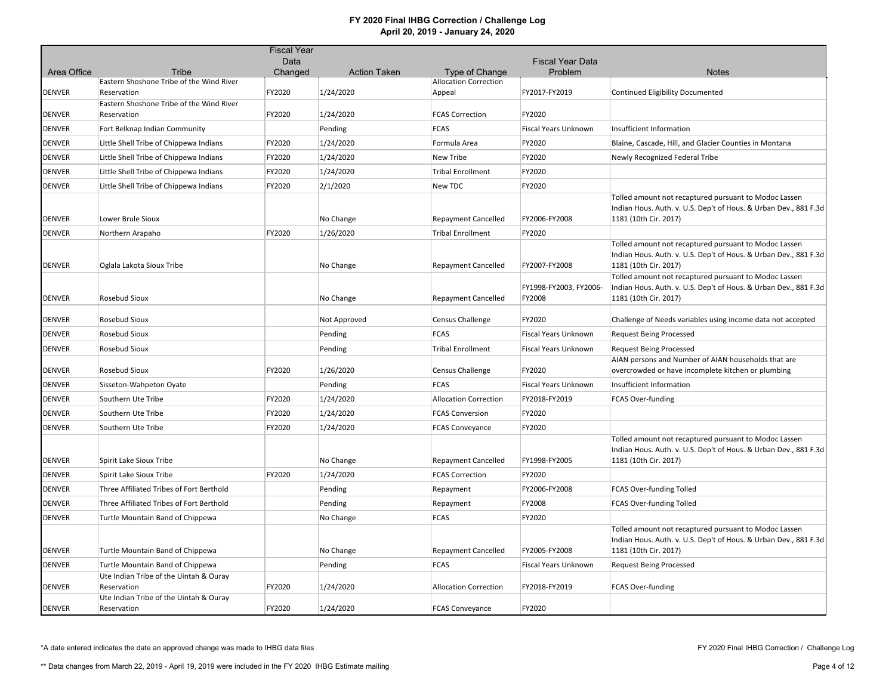|               |                                                       | <b>Fiscal Year</b> |                     |                                                |                                  |                                                                                                                                                    |
|---------------|-------------------------------------------------------|--------------------|---------------------|------------------------------------------------|----------------------------------|----------------------------------------------------------------------------------------------------------------------------------------------------|
|               |                                                       | Data               |                     |                                                | <b>Fiscal Year Data</b>          |                                                                                                                                                    |
| Area Office   | Tribe<br>Eastern Shoshone Tribe of the Wind River     | Changed            | <b>Action Taken</b> | Type of Change<br><b>Allocation Correction</b> | Problem                          | <b>Notes</b>                                                                                                                                       |
| <b>DENVER</b> | Reservation                                           | FY2020             | 1/24/2020           | Appeal                                         | FY2017-FY2019                    | Continued Eligibility Documented                                                                                                                   |
|               | Eastern Shoshone Tribe of the Wind River              |                    |                     |                                                |                                  |                                                                                                                                                    |
| <b>DENVER</b> | Reservation                                           | FY2020             | 1/24/2020           | <b>FCAS Correction</b>                         | FY2020                           |                                                                                                                                                    |
| <b>DENVER</b> | Fort Belknap Indian Community                         |                    | Pending             | <b>FCAS</b>                                    | Fiscal Years Unknown             | Insufficient Information                                                                                                                           |
| <b>DENVER</b> | Little Shell Tribe of Chippewa Indians                | FY2020             | 1/24/2020           | Formula Area                                   | FY2020                           | Blaine, Cascade, Hill, and Glacier Counties in Montana                                                                                             |
| <b>DENVER</b> | Little Shell Tribe of Chippewa Indians                | FY2020             | 1/24/2020           | New Tribe                                      | FY2020                           | Newly Recognized Federal Tribe                                                                                                                     |
| <b>DENVER</b> | Little Shell Tribe of Chippewa Indians                | FY2020             | 1/24/2020           | <b>Tribal Enrollment</b>                       | FY2020                           |                                                                                                                                                    |
| <b>DENVER</b> | Little Shell Tribe of Chippewa Indians                | FY2020             | 2/1/2020            | New TDC                                        | FY2020                           |                                                                                                                                                    |
| <b>DENVER</b> | Lower Brule Sioux                                     |                    | No Change           | <b>Repayment Cancelled</b>                     | FY2006-FY2008                    | Tolled amount not recaptured pursuant to Modoc Lassen<br>Indian Hous. Auth. v. U.S. Dep't of Hous. & Urban Dev., 881 F.3d<br>1181 (10th Cir. 2017) |
| <b>DENVER</b> | Northern Arapaho                                      | FY2020             | 1/26/2020           | <b>Tribal Enrollment</b>                       | FY2020                           |                                                                                                                                                    |
| <b>DENVER</b> | Oglala Lakota Sioux Tribe                             |                    | No Change           | <b>Repayment Cancelled</b>                     | FY2007-FY2008                    | Tolled amount not recaptured pursuant to Modoc Lassen<br>Indian Hous. Auth. v. U.S. Dep't of Hous. & Urban Dev., 881 F.3d<br>1181 (10th Cir. 2017) |
| <b>DENVER</b> | Rosebud Sioux                                         |                    | No Change           | <b>Repayment Cancelled</b>                     | FY1998-FY2003, FY2006-<br>FY2008 | Tolled amount not recaptured pursuant to Modoc Lassen<br>Indian Hous. Auth. v. U.S. Dep't of Hous. & Urban Dev., 881 F.3d<br>1181 (10th Cir. 2017) |
| <b>DENVER</b> | Rosebud Sioux                                         |                    | Not Approved        | Census Challenge                               | FY2020                           | Challenge of Needs variables using income data not accepted                                                                                        |
| <b>DENVER</b> | Rosebud Sioux                                         |                    | Pending             | <b>FCAS</b>                                    | Fiscal Years Unknown             | <b>Request Being Processed</b>                                                                                                                     |
| <b>DENVER</b> | Rosebud Sioux                                         |                    | Pending             | <b>Tribal Enrollment</b>                       | <b>Fiscal Years Unknown</b>      | <b>Request Being Processed</b>                                                                                                                     |
|               |                                                       |                    |                     |                                                |                                  | AIAN persons and Number of AIAN households that are                                                                                                |
| <b>DENVER</b> | Rosebud Sioux                                         | FY2020             | 1/26/2020           | <b>Census Challenge</b>                        | FY2020                           | overcrowded or have incomplete kitchen or plumbing                                                                                                 |
| <b>DENVER</b> | Sisseton-Wahpeton Oyate                               |                    | Pending             | <b>FCAS</b>                                    | <b>Fiscal Years Unknown</b>      | Insufficient Information                                                                                                                           |
| <b>DENVER</b> | Southern Ute Tribe                                    | FY2020             | 1/24/2020           | <b>Allocation Correction</b>                   | FY2018-FY2019                    | FCAS Over-funding                                                                                                                                  |
| <b>DENVER</b> | Southern Ute Tribe                                    | FY2020             | 1/24/2020           | <b>FCAS Conversion</b>                         | FY2020                           |                                                                                                                                                    |
| <b>DENVER</b> | Southern Ute Tribe                                    | FY2020             | 1/24/2020           | <b>FCAS Conveyance</b>                         | FY2020                           |                                                                                                                                                    |
| <b>DENVER</b> | Spirit Lake Sioux Tribe                               |                    | No Change           | <b>Repayment Cancelled</b>                     | FY1998-FY2005                    | Tolled amount not recaptured pursuant to Modoc Lassen<br>Indian Hous. Auth. v. U.S. Dep't of Hous. & Urban Dev., 881 F.3d<br>1181 (10th Cir. 2017) |
| <b>DENVER</b> | Spirit Lake Sioux Tribe                               | FY2020             | 1/24/2020           | <b>FCAS Correction</b>                         | FY2020                           |                                                                                                                                                    |
| <b>DENVER</b> | Three Affiliated Tribes of Fort Berthold              |                    | Pending             | Repayment                                      | FY2006-FY2008                    | <b>FCAS Over-funding Tolled</b>                                                                                                                    |
| <b>DENVER</b> | Three Affiliated Tribes of Fort Berthold              |                    | Pending             | Repayment                                      | FY2008                           | <b>FCAS Over-funding Tolled</b>                                                                                                                    |
| <b>DENVER</b> | Turtle Mountain Band of Chippewa                      |                    | No Change           | <b>FCAS</b>                                    | FY2020                           |                                                                                                                                                    |
| <b>DENVER</b> | Turtle Mountain Band of Chippewa                      |                    | No Change           | <b>Repayment Cancelled</b>                     | FY2005-FY2008                    | Tolled amount not recaptured pursuant to Modoc Lassen<br>Indian Hous. Auth. v. U.S. Dep't of Hous. & Urban Dev., 881 F.3d<br>1181 (10th Cir. 2017) |
| <b>DENVER</b> | Turtle Mountain Band of Chippewa                      |                    | Pending             | <b>FCAS</b>                                    | Fiscal Years Unknown             | <b>Request Being Processed</b>                                                                                                                     |
| <b>DENVER</b> | Ute Indian Tribe of the Uintah & Ouray<br>Reservation | FY2020             | 1/24/2020           | <b>Allocation Correction</b>                   | FY2018-FY2019                    | FCAS Over-funding                                                                                                                                  |
| <b>DENVER</b> | Ute Indian Tribe of the Uintah & Ouray<br>Reservation | FY2020             | 1/24/2020           | <b>FCAS Conveyance</b>                         | FY2020                           |                                                                                                                                                    |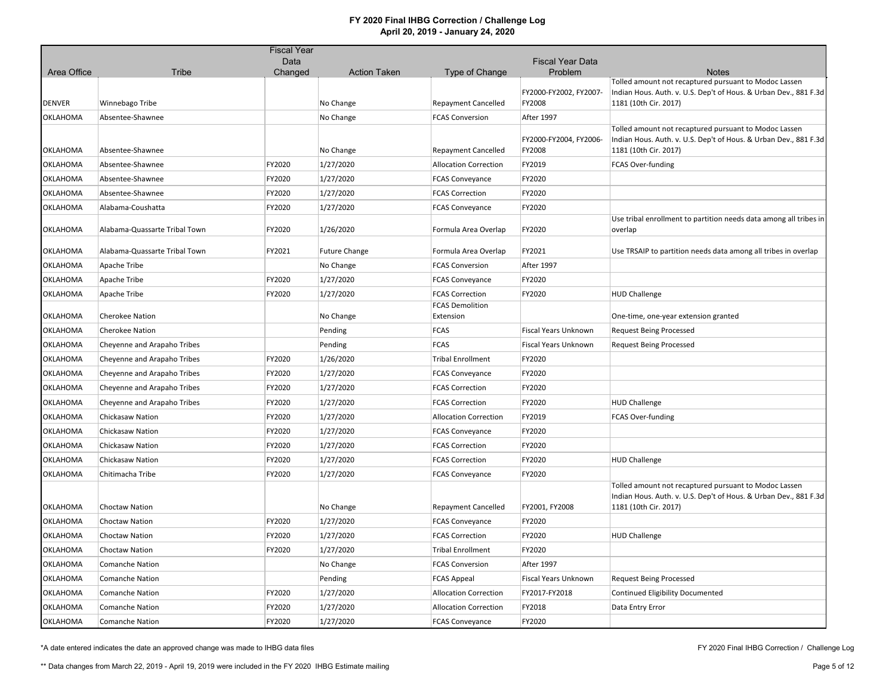|                 |                               | <b>Fiscal Year</b> |                      |                                     |                                  |                                                                                                                                                    |
|-----------------|-------------------------------|--------------------|----------------------|-------------------------------------|----------------------------------|----------------------------------------------------------------------------------------------------------------------------------------------------|
|                 |                               | Data               |                      |                                     | <b>Fiscal Year Data</b>          |                                                                                                                                                    |
| Area Office     | <b>Tribe</b>                  | Changed            | <b>Action Taken</b>  | Type of Change                      | Problem                          | <b>Notes</b><br>Tolled amount not recaptured pursuant to Modoc Lassen                                                                              |
| <b>DENVER</b>   | Winnebago Tribe               |                    | No Change            | <b>Repayment Cancelled</b>          | FY2000-FY2002, FY2007-<br>FY2008 | Indian Hous. Auth. v. U.S. Dep't of Hous. & Urban Dev., 881 F.3d<br>1181 (10th Cir. 2017)                                                          |
| <b>OKLAHOMA</b> | Absentee-Shawnee              |                    | No Change            | <b>FCAS Conversion</b>              | After 1997                       |                                                                                                                                                    |
| <b>OKLAHOMA</b> | Absentee-Shawnee              |                    | No Change            | <b>Repayment Cancelled</b>          | FY2000-FY2004, FY2006-<br>FY2008 | Tolled amount not recaptured pursuant to Modoc Lassen<br>Indian Hous. Auth. v. U.S. Dep't of Hous. & Urban Dev., 881 F.3d<br>1181 (10th Cir. 2017) |
| OKLAHOMA        | Absentee-Shawnee              | FY2020             | 1/27/2020            | <b>Allocation Correction</b>        | FY2019                           | FCAS Over-funding                                                                                                                                  |
| <b>OKLAHOMA</b> | Absentee-Shawnee              | FY2020             | 1/27/2020            | <b>FCAS Conveyance</b>              | FY2020                           |                                                                                                                                                    |
| <b>OKLAHOMA</b> | Absentee-Shawnee              | FY2020             | 1/27/2020            | <b>FCAS Correction</b>              | FY2020                           |                                                                                                                                                    |
| OKLAHOMA        | Alabama-Coushatta             | FY2020             | 1/27/2020            | <b>FCAS Conveyance</b>              | FY2020                           |                                                                                                                                                    |
| OKLAHOMA        | Alabama-Quassarte Tribal Town | FY2020             | 1/26/2020            | Formula Area Overlap                | FY2020                           | Use tribal enrollment to partition needs data among all tribes in<br>overlap                                                                       |
| OKLAHOMA        | Alabama-Quassarte Tribal Town | FY2021             | <b>Future Change</b> | Formula Area Overlap                | FY2021                           | Use TRSAIP to partition needs data among all tribes in overlap                                                                                     |
| OKLAHOMA        | Apache Tribe                  |                    | No Change            | <b>FCAS Conversion</b>              | After 1997                       |                                                                                                                                                    |
| <b>OKLAHOMA</b> | Apache Tribe                  | FY2020             | 1/27/2020            | <b>FCAS Conveyance</b>              | FY2020                           |                                                                                                                                                    |
| OKLAHOMA        | Apache Tribe                  | FY2020             | 1/27/2020            | <b>FCAS Correction</b>              | FY2020                           | <b>HUD Challenge</b>                                                                                                                               |
| OKLAHOMA        | <b>Cherokee Nation</b>        |                    | No Change            | <b>FCAS Demolition</b><br>Extension |                                  | One-time, one-year extension granted                                                                                                               |
| OKLAHOMA        | <b>Cherokee Nation</b>        |                    | Pending              | <b>FCAS</b>                         | Fiscal Years Unknown             | <b>Request Being Processed</b>                                                                                                                     |
| OKLAHOMA        | Cheyenne and Arapaho Tribes   |                    | Pending              | <b>FCAS</b>                         | <b>Fiscal Years Unknown</b>      | <b>Request Being Processed</b>                                                                                                                     |
| OKLAHOMA        | Cheyenne and Arapaho Tribes   | FY2020             | 1/26/2020            | <b>Tribal Enrollment</b>            | FY2020                           |                                                                                                                                                    |
| <b>OKLAHOMA</b> | Cheyenne and Arapaho Tribes   | FY2020             | 1/27/2020            | <b>FCAS Conveyance</b>              | FY2020                           |                                                                                                                                                    |
| <b>OKLAHOMA</b> | Cheyenne and Arapaho Tribes   | FY2020             | 1/27/2020            | <b>FCAS Correction</b>              | FY2020                           |                                                                                                                                                    |
| OKLAHOMA        | Cheyenne and Arapaho Tribes   | FY2020             | 1/27/2020            | <b>FCAS Correction</b>              | FY2020                           | <b>HUD Challenge</b>                                                                                                                               |
| OKLAHOMA        | Chickasaw Nation              | FY2020             | 1/27/2020            | <b>Allocation Correction</b>        | FY2019                           | <b>FCAS Over-funding</b>                                                                                                                           |
| <b>OKLAHOMA</b> | Chickasaw Nation              | FY2020             | 1/27/2020            | <b>FCAS Conveyance</b>              | FY2020                           |                                                                                                                                                    |
| OKLAHOMA        | Chickasaw Nation              | FY2020             | 1/27/2020            | <b>FCAS Correction</b>              | FY2020                           |                                                                                                                                                    |
| OKLAHOMA        | Chickasaw Nation              | FY2020             | 1/27/2020            | <b>FCAS Correction</b>              | FY2020                           | <b>HUD Challenge</b>                                                                                                                               |
| OKLAHOMA        | Chitimacha Tribe              | FY2020             | 1/27/2020            | <b>FCAS Conveyance</b>              | FY2020                           |                                                                                                                                                    |
| OKLAHOMA        | Choctaw Nation                |                    | No Change            | <b>Repayment Cancelled</b>          | FY2001, FY2008                   | Tolled amount not recaptured pursuant to Modoc Lassen<br>Indian Hous. Auth. v. U.S. Dep't of Hous. & Urban Dev., 881 F.3d<br>1181 (10th Cir. 2017) |
| <b>OKLAHOMA</b> | Choctaw Nation                | FY2020             | 1/27/2020            | <b>FCAS Conveyance</b>              | FY2020                           |                                                                                                                                                    |
| <b>OKLAHOMA</b> | <b>Choctaw Nation</b>         | FY2020             | 1/27/2020            | <b>FCAS Correction</b>              | FY2020                           | <b>HUD Challenge</b>                                                                                                                               |
| OKLAHOMA        | <b>Choctaw Nation</b>         | FY2020             | 1/27/2020            | <b>Tribal Enrollment</b>            | FY2020                           |                                                                                                                                                    |
| OKLAHOMA        | <b>Comanche Nation</b>        |                    | No Change            | <b>FCAS Conversion</b>              | After 1997                       |                                                                                                                                                    |
| OKLAHOMA        | <b>Comanche Nation</b>        |                    | Pending              | <b>FCAS Appeal</b>                  | Fiscal Years Unknown             | <b>Request Being Processed</b>                                                                                                                     |
| OKLAHOMA        | <b>Comanche Nation</b>        | FY2020             | 1/27/2020            | <b>Allocation Correction</b>        | FY2017-FY2018                    | Continued Eligibility Documented                                                                                                                   |
| OKLAHOMA        | <b>Comanche Nation</b>        | FY2020             | 1/27/2020            | <b>Allocation Correction</b>        | FY2018                           | Data Entry Error                                                                                                                                   |
| <b>OKLAHOMA</b> | <b>Comanche Nation</b>        | FY2020             | 1/27/2020            | <b>FCAS Conveyance</b>              | FY2020                           |                                                                                                                                                    |

\*A date entered indicates the date an approved change was made to IHBG data files

FY 2020 Final IHBG Correction / Challenge Log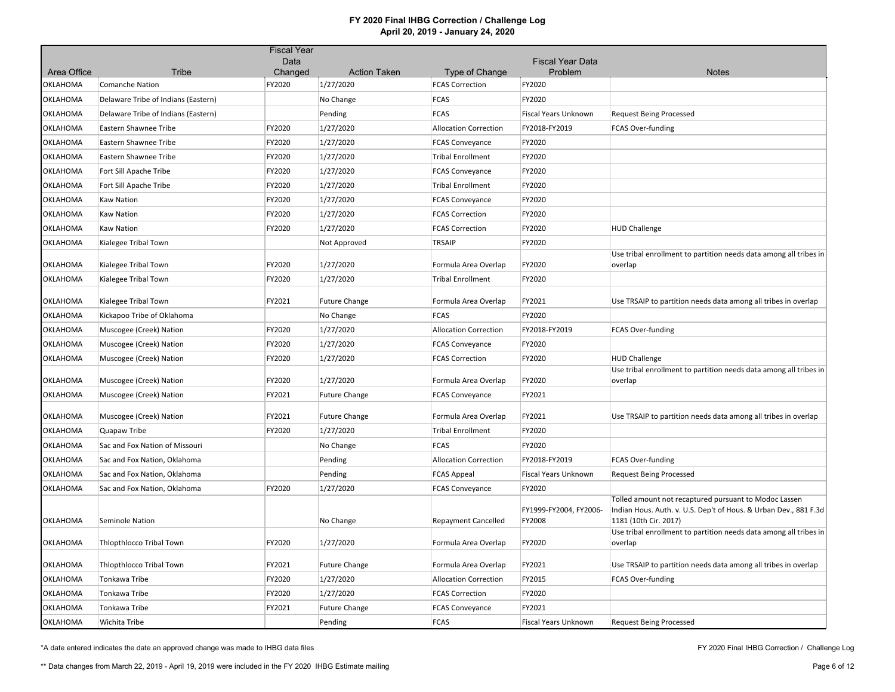|                 |                                     | <b>Fiscal Year</b> |                      |                                                    |                                    |                                                                                                                                                    |
|-----------------|-------------------------------------|--------------------|----------------------|----------------------------------------------------|------------------------------------|----------------------------------------------------------------------------------------------------------------------------------------------------|
| Area Office     | Tribe                               | Data<br>Changed    | <b>Action Taken</b>  | Type of Change                                     | <b>Fiscal Year Data</b><br>Problem | <b>Notes</b>                                                                                                                                       |
| OKLAHOMA        | <b>Comanche Nation</b>              | FY2020             | 1/27/2020            | <b>FCAS Correction</b>                             | FY2020                             |                                                                                                                                                    |
| <b>OKLAHOMA</b> | Delaware Tribe of Indians (Eastern) |                    | No Change            | <b>FCAS</b>                                        | FY2020                             |                                                                                                                                                    |
| OKLAHOMA        | Delaware Tribe of Indians (Eastern) |                    | Pending              | <b>FCAS</b>                                        | Fiscal Years Unknown               | <b>Request Being Processed</b>                                                                                                                     |
| OKLAHOMA        | Eastern Shawnee Tribe               | FY2020             | 1/27/2020            | <b>Allocation Correction</b>                       | FY2018-FY2019                      | <b>FCAS Over-funding</b>                                                                                                                           |
| OKLAHOMA        | Eastern Shawnee Tribe               | FY2020             | 1/27/2020            |                                                    | FY2020                             |                                                                                                                                                    |
| OKLAHOMA        | Eastern Shawnee Tribe               | FY2020             | 1/27/2020            | <b>FCAS Conveyance</b><br><b>Tribal Enrollment</b> | FY2020                             |                                                                                                                                                    |
|                 |                                     |                    |                      |                                                    | FY2020                             |                                                                                                                                                    |
| <b>OKLAHOMA</b> | Fort Sill Apache Tribe              | FY2020             | 1/27/2020            | <b>FCAS Conveyance</b>                             |                                    |                                                                                                                                                    |
| <b>OKLAHOMA</b> | Fort Sill Apache Tribe              | FY2020             | 1/27/2020            | <b>Tribal Enrollment</b>                           | FY2020                             |                                                                                                                                                    |
| OKLAHOMA        | <b>Kaw Nation</b>                   | FY2020             | 1/27/2020            | <b>FCAS Conveyance</b>                             | FY2020                             |                                                                                                                                                    |
| OKLAHOMA        | <b>Kaw Nation</b>                   | FY2020             | 1/27/2020            | <b>FCAS Correction</b>                             | FY2020                             |                                                                                                                                                    |
| OKLAHOMA        | <b>Kaw Nation</b>                   | FY2020             | 1/27/2020            | <b>FCAS Correction</b>                             | FY2020                             | <b>HUD Challenge</b>                                                                                                                               |
| OKLAHOMA        | Kialegee Tribal Town                |                    | Not Approved         | <b>TRSAIP</b>                                      | FY2020                             |                                                                                                                                                    |
| OKLAHOMA        | Kialegee Tribal Town                | FY2020             | 1/27/2020            | Formula Area Overlap                               | FY2020                             | Use tribal enrollment to partition needs data among all tribes in<br>overlap                                                                       |
| OKLAHOMA        | Kialegee Tribal Town                | FY2020             | 1/27/2020            | <b>Tribal Enrollment</b>                           | FY2020                             |                                                                                                                                                    |
| OKLAHOMA        | Kialegee Tribal Town                | FY2021             | <b>Future Change</b> | Formula Area Overlap                               | FY2021                             | Use TRSAIP to partition needs data among all tribes in overlap                                                                                     |
| OKLAHOMA        | Kickapoo Tribe of Oklahoma          |                    | No Change            | <b>FCAS</b>                                        | FY2020                             |                                                                                                                                                    |
| OKLAHOMA        | Muscogee (Creek) Nation             | FY2020             | 1/27/2020            | <b>Allocation Correction</b>                       | FY2018-FY2019                      | <b>FCAS Over-funding</b>                                                                                                                           |
| OKLAHOMA        | Muscogee (Creek) Nation             | FY2020             | 1/27/2020            | <b>FCAS Conveyance</b>                             | FY2020                             |                                                                                                                                                    |
| <b>OKLAHOMA</b> | Muscogee (Creek) Nation             | FY2020             | 1/27/2020            | <b>FCAS Correction</b>                             | FY2020                             | <b>HUD Challenge</b>                                                                                                                               |
| <b>OKLAHOMA</b> | Muscogee (Creek) Nation             | FY2020             | 1/27/2020            | Formula Area Overlap                               | FY2020                             | Use tribal enrollment to partition needs data among all tribes in<br>overlap                                                                       |
| OKLAHOMA        | Muscogee (Creek) Nation             | FY2021             | <b>Future Change</b> | <b>FCAS Conveyance</b>                             | FY2021                             |                                                                                                                                                    |
| OKLAHOMA        | Muscogee (Creek) Nation             | FY2021             | <b>Future Change</b> | Formula Area Overlap                               | FY2021                             | Use TRSAIP to partition needs data among all tribes in overlap                                                                                     |
| <b>OKLAHOMA</b> | Quapaw Tribe                        | FY2020             | 1/27/2020            | <b>Tribal Enrollment</b>                           | FY2020                             |                                                                                                                                                    |
| OKLAHOMA        | Sac and Fox Nation of Missouri      |                    | No Change            | <b>FCAS</b>                                        | FY2020                             |                                                                                                                                                    |
| OKLAHOMA        | Sac and Fox Nation, Oklahoma        |                    | Pending              | <b>Allocation Correction</b>                       | FY2018-FY2019                      | <b>FCAS Over-funding</b>                                                                                                                           |
| OKLAHOMA        | Sac and Fox Nation, Oklahoma        |                    | Pending              | <b>FCAS Appeal</b>                                 | Fiscal Years Unknown               | <b>Request Being Processed</b>                                                                                                                     |
| OKLAHOMA        | Sac and Fox Nation, Oklahoma        | FY2020             | 1/27/2020            | <b>FCAS Conveyance</b>                             | FY2020                             |                                                                                                                                                    |
| <b>OKLAHOMA</b> | Seminole Nation                     |                    | No Change            | <b>Repayment Cancelled</b>                         | FY1999-FY2004, FY2006-<br>FY2008   | Tolled amount not recaptured pursuant to Modoc Lassen<br>Indian Hous. Auth. v. U.S. Dep't of Hous. & Urban Dev., 881 F.3d<br>1181 (10th Cir. 2017) |
| OKLAHOMA        | Thlopthlocco Tribal Town            | FY2020             | 1/27/2020            | Formula Area Overlap                               | FY2020                             | Use tribal enrollment to partition needs data among all tribes in<br>overlap                                                                       |
| OKLAHOMA        | Thlopthlocco Tribal Town            | FY2021             | <b>Future Change</b> | Formula Area Overlap                               | FY2021                             | Use TRSAIP to partition needs data among all tribes in overlap                                                                                     |
| OKLAHOMA        | Tonkawa Tribe                       | FY2020             | 1/27/2020            | <b>Allocation Correction</b>                       | FY2015                             | <b>FCAS Over-funding</b>                                                                                                                           |
| OKLAHOMA        | Tonkawa Tribe                       | FY2020             | 1/27/2020            | <b>FCAS Correction</b>                             | FY2020                             |                                                                                                                                                    |
| <b>OKLAHOMA</b> | Tonkawa Tribe                       | FY2021             | <b>Future Change</b> | <b>FCAS Conveyance</b>                             | FY2021                             |                                                                                                                                                    |
| <b>OKLAHOMA</b> | Wichita Tribe                       |                    | Pending              | <b>FCAS</b>                                        | <b>Fiscal Years Unknown</b>        | <b>Request Being Processed</b>                                                                                                                     |

\*A date entered indicates the date an approved change was made to IHBG data files

FY 2020 Final IHBG Correction / Challenge Log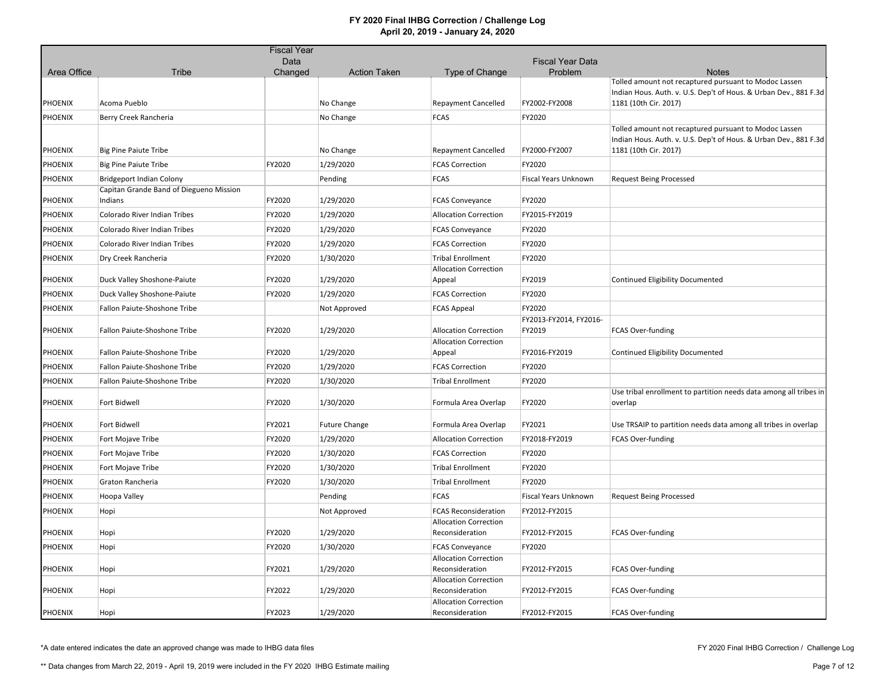|                |                                                                            | <b>Fiscal Year</b> |                      |                                                          |                         |                                                                                           |
|----------------|----------------------------------------------------------------------------|--------------------|----------------------|----------------------------------------------------------|-------------------------|-------------------------------------------------------------------------------------------|
|                |                                                                            | Data               |                      |                                                          | <b>Fiscal Year Data</b> |                                                                                           |
| Area Office    | <b>Tribe</b>                                                               | Changed            | <b>Action Taken</b>  | Type of Change                                           | Problem                 | <b>Notes</b><br>Tolled amount not recaptured pursuant to Modoc Lassen                     |
|                |                                                                            |                    |                      |                                                          |                         | Indian Hous. Auth. v. U.S. Dep't of Hous. & Urban Dev., 881 F.3d                          |
| <b>PHOENIX</b> | Acoma Pueblo                                                               |                    | No Change            | <b>Repayment Cancelled</b>                               | FY2002-FY2008           | 1181 (10th Cir. 2017)                                                                     |
| <b>PHOENIX</b> | Berry Creek Rancheria                                                      |                    | No Change            | <b>FCAS</b>                                              | FY2020                  |                                                                                           |
|                |                                                                            |                    |                      |                                                          |                         | Tolled amount not recaptured pursuant to Modoc Lassen                                     |
| <b>PHOENIX</b> | <b>Big Pine Paiute Tribe</b>                                               |                    | No Change            | <b>Repayment Cancelled</b>                               | FY2000-FY2007           | Indian Hous. Auth. v. U.S. Dep't of Hous. & Urban Dev., 881 F.3d<br>1181 (10th Cir. 2017) |
|                |                                                                            |                    |                      |                                                          | FY2020                  |                                                                                           |
| <b>PHOENIX</b> | <b>Big Pine Paiute Tribe</b>                                               | FY2020             | 1/29/2020            | <b>FCAS Correction</b>                                   |                         |                                                                                           |
| <b>PHOENIX</b> | <b>Bridgeport Indian Colony</b><br>Capitan Grande Band of Diegueno Mission |                    | Pending              | <b>FCAS</b>                                              | Fiscal Years Unknown    | <b>Request Being Processed</b>                                                            |
| <b>PHOENIX</b> | Indians                                                                    | FY2020             | 1/29/2020            | <b>FCAS Conveyance</b>                                   | FY2020                  |                                                                                           |
| <b>PHOENIX</b> | Colorado River Indian Tribes                                               | FY2020             | 1/29/2020            | <b>Allocation Correction</b>                             | FY2015-FY2019           |                                                                                           |
| <b>PHOENIX</b> | Colorado River Indian Tribes                                               | FY2020             | 1/29/2020            | <b>FCAS Conveyance</b>                                   | FY2020                  |                                                                                           |
|                | Colorado River Indian Tribes                                               | FY2020             | 1/29/2020            | <b>FCAS Correction</b>                                   | FY2020                  |                                                                                           |
| <b>PHOENIX</b> |                                                                            |                    |                      |                                                          |                         |                                                                                           |
| <b>PHOENIX</b> | Dry Creek Rancheria                                                        | FY2020             | 1/30/2020            | <b>Tribal Enrollment</b><br><b>Allocation Correction</b> | FY2020                  |                                                                                           |
| <b>PHOENIX</b> | Duck Valley Shoshone-Paiute                                                | FY2020             | 1/29/2020            | Appeal                                                   | FY2019                  | Continued Eligibility Documented                                                          |
| <b>PHOENIX</b> | Duck Valley Shoshone-Paiute                                                | FY2020             | 1/29/2020            | <b>FCAS Correction</b>                                   | FY2020                  |                                                                                           |
| <b>PHOENIX</b> | Fallon Paiute-Shoshone Tribe                                               |                    | Not Approved         | <b>FCAS Appeal</b>                                       | FY2020                  |                                                                                           |
|                |                                                                            |                    |                      |                                                          | FY2013-FY2014, FY2016-  |                                                                                           |
| <b>PHOENIX</b> | Fallon Paiute-Shoshone Tribe                                               | FY2020             | 1/29/2020            | <b>Allocation Correction</b>                             | FY2019                  | FCAS Over-funding                                                                         |
| <b>PHOENIX</b> | Fallon Paiute-Shoshone Tribe                                               | FY2020             | 1/29/2020            | <b>Allocation Correction</b><br>Appeal                   | FY2016-FY2019           | Continued Eligibility Documented                                                          |
| PHOENIX        | Fallon Paiute-Shoshone Tribe                                               | FY2020             | 1/29/2020            | <b>FCAS Correction</b>                                   | FY2020                  |                                                                                           |
| <b>PHOENIX</b> | Fallon Paiute-Shoshone Tribe                                               | FY2020             | 1/30/2020            | <b>Tribal Enrollment</b>                                 | FY2020                  |                                                                                           |
|                |                                                                            |                    |                      |                                                          |                         | Use tribal enrollment to partition needs data among all tribes in                         |
| <b>PHOENIX</b> | Fort Bidwell                                                               | FY2020             | 1/30/2020            | Formula Area Overlap                                     | FY2020                  | overlap                                                                                   |
| <b>PHOENIX</b> | Fort Bidwell                                                               | FY2021             | <b>Future Change</b> | Formula Area Overlap                                     | FY2021                  | Use TRSAIP to partition needs data among all tribes in overlap                            |
| <b>PHOENIX</b> | Fort Mojave Tribe                                                          | FY2020             | 1/29/2020            | <b>Allocation Correction</b>                             | FY2018-FY2019           | <b>FCAS Over-funding</b>                                                                  |
| <b>PHOENIX</b> | Fort Mojave Tribe                                                          | FY2020             | 1/30/2020            | <b>FCAS Correction</b>                                   | FY2020                  |                                                                                           |
| PHOENIX        | Fort Mojave Tribe                                                          | FY2020             | 1/30/2020            | <b>Tribal Enrollment</b>                                 | FY2020                  |                                                                                           |
| <b>PHOENIX</b> | Graton Rancheria                                                           | FY2020             | 1/30/2020            | <b>Tribal Enrollment</b>                                 | FY2020                  |                                                                                           |
| <b>PHOENIX</b> | Hoopa Valley                                                               |                    | Pending              | <b>FCAS</b>                                              | Fiscal Years Unknown    | <b>Request Being Processed</b>                                                            |
| <b>PHOENIX</b> | Hopi                                                                       |                    | Not Approved         | <b>FCAS Reconsideration</b>                              | FY2012-FY2015           |                                                                                           |
|                |                                                                            |                    |                      | <b>Allocation Correction</b>                             |                         |                                                                                           |
| <b>PHOENIX</b> | Hopi                                                                       | FY2020             | 1/29/2020            | Reconsideration                                          | FY2012-FY2015           | FCAS Over-funding                                                                         |
| <b>PHOENIX</b> | Hopi                                                                       | FY2020             | 1/30/2020            | <b>FCAS Conveyance</b>                                   | FY2020                  |                                                                                           |
|                |                                                                            |                    |                      | <b>Allocation Correction</b>                             |                         |                                                                                           |
| <b>PHOENIX</b> | Hopi                                                                       | FY2021             | 1/29/2020            | Reconsideration                                          | FY2012-FY2015           | <b>FCAS Over-funding</b>                                                                  |
| <b>PHOENIX</b> | Hopi                                                                       | FY2022             | 1/29/2020            | <b>Allocation Correction</b><br>Reconsideration          | FY2012-FY2015           | FCAS Over-funding                                                                         |
|                |                                                                            |                    |                      | <b>Allocation Correction</b>                             |                         |                                                                                           |
| <b>PHOENIX</b> | Hopi                                                                       | FY2023             | 1/29/2020            | Reconsideration                                          | FY2012-FY2015           | <b>FCAS Over-funding</b>                                                                  |

\*A date entered indicates the date an approved change was made to IHBG data files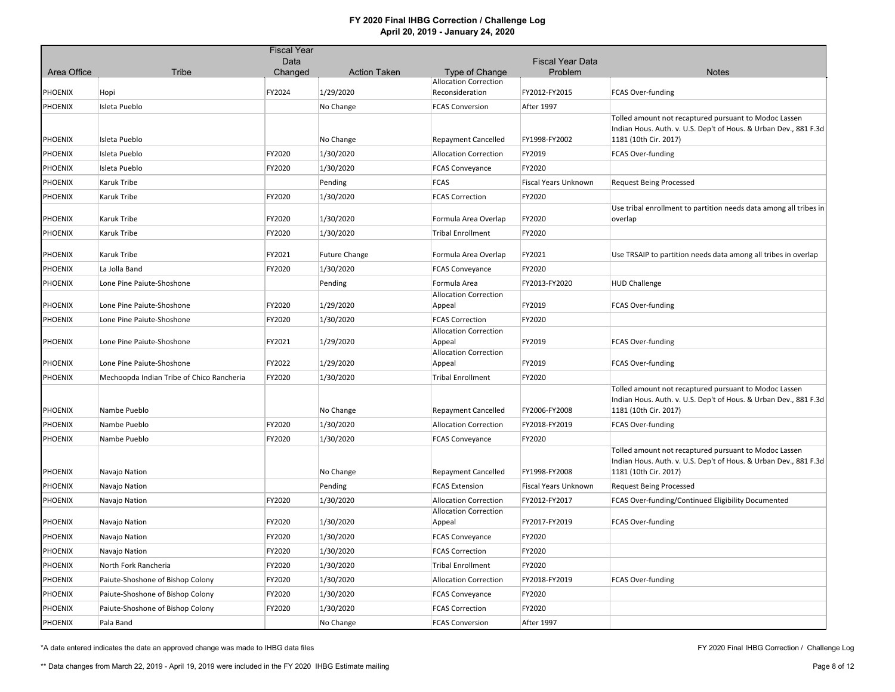|             |                                           | <b>Fiscal Year</b> |                      |                                                |                         |                                                                                                                                                    |
|-------------|-------------------------------------------|--------------------|----------------------|------------------------------------------------|-------------------------|----------------------------------------------------------------------------------------------------------------------------------------------------|
|             |                                           | Data               |                      |                                                | <b>Fiscal Year Data</b> |                                                                                                                                                    |
| Area Office | Tribe                                     | Changed            | <b>Action Taken</b>  | Type of Change<br><b>Allocation Correction</b> | Problem                 | <b>Notes</b>                                                                                                                                       |
| PHOENIX     | Hopi                                      | FY2024             | 1/29/2020            | Reconsideration                                | FY2012-FY2015           | FCAS Over-funding                                                                                                                                  |
| PHOENIX     | Isleta Pueblo                             |                    | No Change            | <b>FCAS Conversion</b>                         | After 1997              |                                                                                                                                                    |
| PHOENIX     | Isleta Pueblo                             |                    | No Change            | <b>Repayment Cancelled</b>                     | FY1998-FY2002           | Tolled amount not recaptured pursuant to Modoc Lassen<br>Indian Hous. Auth. v. U.S. Dep't of Hous. & Urban Dev., 881 F.3d<br>1181 (10th Cir. 2017) |
| PHOENIX     | Isleta Pueblo                             | FY2020             | 1/30/2020            | <b>Allocation Correction</b>                   | FY2019                  | <b>FCAS Over-funding</b>                                                                                                                           |
| PHOENIX     | Isleta Pueblo                             | FY2020             | 1/30/2020            | <b>FCAS Conveyance</b>                         | FY2020                  |                                                                                                                                                    |
| PHOENIX     | Karuk Tribe                               |                    | Pending              | <b>FCAS</b>                                    | Fiscal Years Unknown    | <b>Request Being Processed</b>                                                                                                                     |
| PHOENIX     | Karuk Tribe                               | FY2020             | 1/30/2020            | <b>FCAS Correction</b>                         | FY2020                  |                                                                                                                                                    |
| PHOENIX     | Karuk Tribe                               | FY2020             | 1/30/2020            | Formula Area Overlap                           | FY2020                  | Use tribal enrollment to partition needs data among all tribes in<br>overlap                                                                       |
| PHOENIX     | Karuk Tribe                               | FY2020             | 1/30/2020            | <b>Tribal Enrollment</b>                       | FY2020                  |                                                                                                                                                    |
| PHOENIX     | Karuk Tribe                               | FY2021             | <b>Future Change</b> | Formula Area Overlap                           | FY2021                  | Use TRSAIP to partition needs data among all tribes in overlap                                                                                     |
| PHOENIX     | La Jolla Band                             | FY2020             | 1/30/2020            | <b>FCAS Conveyance</b>                         | FY2020                  |                                                                                                                                                    |
| PHOENIX     | Lone Pine Paiute-Shoshone                 |                    | Pending              | Formula Area                                   | FY2013-FY2020           | <b>HUD Challenge</b>                                                                                                                               |
| PHOENIX     | Lone Pine Paiute-Shoshone                 | FY2020             | 1/29/2020            | <b>Allocation Correction</b><br>Appeal         | FY2019                  | <b>FCAS Over-funding</b>                                                                                                                           |
| PHOENIX     | Lone Pine Paiute-Shoshone                 | FY2020             | 1/30/2020            | <b>FCAS Correction</b>                         | FY2020                  |                                                                                                                                                    |
|             |                                           |                    |                      | <b>Allocation Correction</b>                   |                         |                                                                                                                                                    |
| PHOENIX     | Lone Pine Paiute-Shoshone                 | FY2021             | 1/29/2020            | Appeal<br><b>Allocation Correction</b>         | FY2019                  | FCAS Over-funding                                                                                                                                  |
| PHOENIX     | Lone Pine Paiute-Shoshone                 | FY2022             | 1/29/2020            | Appeal                                         | FY2019                  | FCAS Over-funding                                                                                                                                  |
| PHOENIX     | Mechoopda Indian Tribe of Chico Rancheria | FY2020             | 1/30/2020            | <b>Tribal Enrollment</b>                       | FY2020                  |                                                                                                                                                    |
| PHOENIX     | Nambe Pueblo                              |                    | No Change            | <b>Repayment Cancelled</b>                     | FY2006-FY2008           | Tolled amount not recaptured pursuant to Modoc Lassen<br>Indian Hous. Auth. v. U.S. Dep't of Hous. & Urban Dev., 881 F.3d<br>1181 (10th Cir. 2017) |
| PHOENIX     | Nambe Pueblo                              | FY2020             | 1/30/2020            | <b>Allocation Correction</b>                   | FY2018-FY2019           | <b>FCAS Over-funding</b>                                                                                                                           |
| PHOENIX     | Nambe Pueblo                              | FY2020             | 1/30/2020            | <b>FCAS Conveyance</b>                         | FY2020                  |                                                                                                                                                    |
| PHOENIX     | Navajo Nation                             |                    | No Change            | <b>Repayment Cancelled</b>                     | FY1998-FY2008           | Tolled amount not recaptured pursuant to Modoc Lassen<br>Indian Hous. Auth. v. U.S. Dep't of Hous. & Urban Dev., 881 F.3d<br>1181 (10th Cir. 2017) |
| PHOENIX     | Navajo Nation                             |                    | Pending              | <b>FCAS Extension</b>                          | Fiscal Years Unknown    | <b>Request Being Processed</b>                                                                                                                     |
| PHOENIX     | Navajo Nation                             | FY2020             | 1/30/2020            | <b>Allocation Correction</b>                   | FY2012-FY2017           | FCAS Over-funding/Continued Eligibility Documented                                                                                                 |
| PHOENIX     | Navajo Nation                             | FY2020             | 1/30/2020            | <b>Allocation Correction</b><br>Appeal         | FY2017-FY2019           | FCAS Over-funding                                                                                                                                  |
| PHOENIX     | Navajo Nation                             | FY2020             | 1/30/2020            | <b>FCAS Conveyance</b>                         | FY2020                  |                                                                                                                                                    |
| PHOENIX     | Navajo Nation                             | FY2020             | 1/30/2020            | <b>FCAS Correction</b>                         | FY2020                  |                                                                                                                                                    |
| PHOENIX     | North Fork Rancheria                      | FY2020             | 1/30/2020            | <b>Tribal Enrollment</b>                       | FY2020                  |                                                                                                                                                    |
| PHOENIX     | Paiute-Shoshone of Bishop Colony          | FY2020             | 1/30/2020            | <b>Allocation Correction</b>                   | FY2018-FY2019           | FCAS Over-funding                                                                                                                                  |
| PHOENIX     | Paiute-Shoshone of Bishop Colony          | FY2020             | 1/30/2020            | <b>FCAS Conveyance</b>                         | FY2020                  |                                                                                                                                                    |
| PHOENIX     | Paiute-Shoshone of Bishop Colony          | FY2020             | 1/30/2020            | <b>FCAS Correction</b>                         | FY2020                  |                                                                                                                                                    |
| PHOENIX     | Pala Band                                 |                    | No Change            | <b>FCAS Conversion</b>                         | After 1997              |                                                                                                                                                    |

\*A date entered indicates the date an approved change was made to IHBG data files

FY 2020 Final IHBG Correction / Challenge Log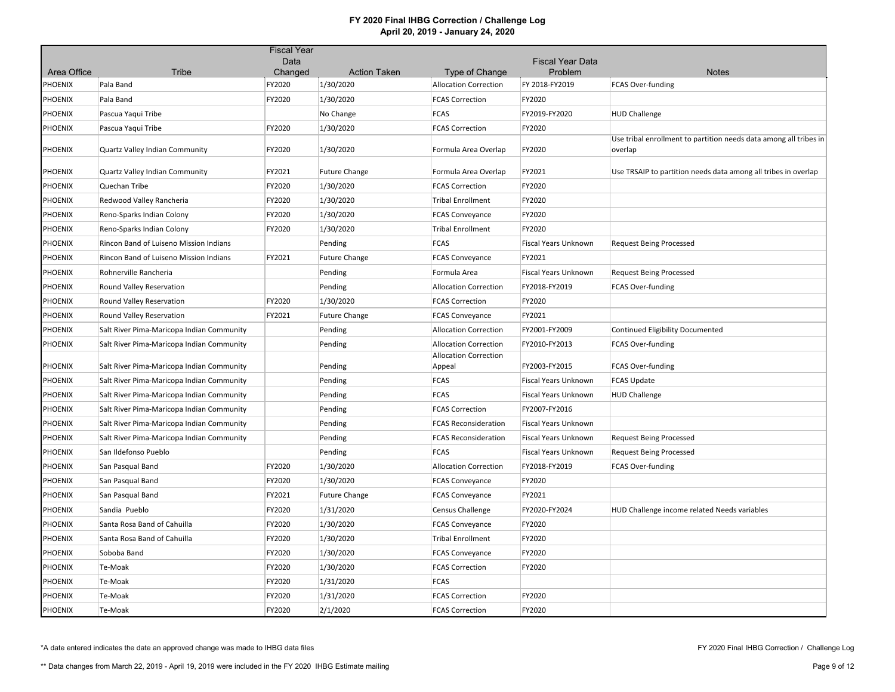|                |                                           | <b>Fiscal Year</b> |                      |                                        |                                    |                                                                              |
|----------------|-------------------------------------------|--------------------|----------------------|----------------------------------------|------------------------------------|------------------------------------------------------------------------------|
| Area Office    | Tribe                                     | Data<br>Changed    | <b>Action Taken</b>  | Type of Change                         | <b>Fiscal Year Data</b><br>Problem | <b>Notes</b>                                                                 |
| PHOENIX        | Pala Band                                 | FY2020             | 1/30/2020            | <b>Allocation Correction</b>           | FY 2018-FY2019                     | <b>FCAS Over-funding</b>                                                     |
| <b>PHOENIX</b> | Pala Band                                 | FY2020             | 1/30/2020            | <b>FCAS Correction</b>                 | FY2020                             |                                                                              |
| PHOENIX        | Pascua Yaqui Tribe                        |                    | No Change            | <b>FCAS</b>                            | FY2019-FY2020                      | <b>HUD Challenge</b>                                                         |
| <b>PHOENIX</b> | Pascua Yaqui Tribe                        | FY2020             | 1/30/2020            | <b>FCAS Correction</b>                 | FY2020                             |                                                                              |
| <b>PHOENIX</b> | Quartz Valley Indian Community            | FY2020             | 1/30/2020            | Formula Area Overlap                   | FY2020                             | Use tribal enrollment to partition needs data among all tribes in<br>overlap |
|                |                                           |                    |                      |                                        |                                    |                                                                              |
| <b>PHOENIX</b> | Quartz Valley Indian Community            | FY2021             | <b>Future Change</b> | Formula Area Overlap                   | FY2021                             | Use TRSAIP to partition needs data among all tribes in overlap               |
| PHOENIX        | Quechan Tribe                             | FY2020             | 1/30/2020            | <b>FCAS Correction</b>                 | FY2020                             |                                                                              |
| <b>PHOENIX</b> | Redwood Valley Rancheria                  | FY2020             | 1/30/2020            | <b>Tribal Enrollment</b>               | FY2020                             |                                                                              |
| <b>PHOENIX</b> | Reno-Sparks Indian Colony                 | FY2020             | 1/30/2020            | <b>FCAS Conveyance</b>                 | FY2020                             |                                                                              |
| <b>PHOENIX</b> | Reno-Sparks Indian Colony                 | FY2020             | 1/30/2020            | <b>Tribal Enrollment</b>               | FY2020                             |                                                                              |
| <b>PHOENIX</b> | Rincon Band of Luiseno Mission Indians    |                    | Pending              | <b>FCAS</b>                            | Fiscal Years Unknown               | <b>Request Being Processed</b>                                               |
| <b>PHOENIX</b> | Rincon Band of Luiseno Mission Indians    | FY2021             | <b>Future Change</b> | <b>FCAS Conveyance</b>                 | FY2021                             |                                                                              |
| <b>PHOENIX</b> | Rohnerville Rancheria                     |                    | Pending              | Formula Area                           | Fiscal Years Unknown               | <b>Request Being Processed</b>                                               |
| <b>PHOENIX</b> | Round Valley Reservation                  |                    | Pending              | <b>Allocation Correction</b>           | FY2018-FY2019                      | FCAS Over-funding                                                            |
| <b>PHOENIX</b> | Round Valley Reservation                  | FY2020             | 1/30/2020            | <b>FCAS Correction</b>                 | FY2020                             |                                                                              |
| <b>PHOENIX</b> | Round Valley Reservation                  | FY2021             | <b>Future Change</b> | <b>FCAS Conveyance</b>                 | FY2021                             |                                                                              |
| <b>PHOENIX</b> | Salt River Pima-Maricopa Indian Community |                    | Pending              | <b>Allocation Correction</b>           | FY2001-FY2009                      | Continued Eligibility Documented                                             |
| PHOENIX        | Salt River Pima-Maricopa Indian Community |                    | Pending              | <b>Allocation Correction</b>           | FY2010-FY2013                      | FCAS Over-funding                                                            |
| <b>PHOENIX</b> | Salt River Pima-Maricopa Indian Community |                    | Pending              | <b>Allocation Correction</b><br>Appeal | FY2003-FY2015                      | FCAS Over-funding                                                            |
| <b>PHOENIX</b> | Salt River Pima-Maricopa Indian Community |                    | Pending              | <b>FCAS</b>                            | <b>Fiscal Years Unknown</b>        | <b>FCAS Update</b>                                                           |
| <b>PHOENIX</b> | Salt River Pima-Maricopa Indian Community |                    | Pending              | <b>FCAS</b>                            | Fiscal Years Unknown               | <b>HUD Challenge</b>                                                         |
| <b>PHOENIX</b> | Salt River Pima-Maricopa Indian Community |                    | Pending              | <b>FCAS Correction</b>                 | FY2007-FY2016                      |                                                                              |
| PHOENIX        | Salt River Pima-Maricopa Indian Community |                    | Pending              | <b>FCAS Reconsideration</b>            | Fiscal Years Unknown               |                                                                              |
| <b>PHOENIX</b> | Salt River Pima-Maricopa Indian Community |                    | Pending              | <b>FCAS Reconsideration</b>            | Fiscal Years Unknown               | <b>Request Being Processed</b>                                               |
| <b>PHOENIX</b> | San Ildefonso Pueblo                      |                    | Pending              | <b>FCAS</b>                            | Fiscal Years Unknown               | <b>Request Being Processed</b>                                               |
| PHOENIX        | San Pasqual Band                          | FY2020             | 1/30/2020            | <b>Allocation Correction</b>           | FY2018-FY2019                      | FCAS Over-funding                                                            |
| PHOENIX        | San Pasqual Band                          | FY2020             | 1/30/2020            | <b>FCAS Conveyance</b>                 | FY2020                             |                                                                              |
| <b>PHOENIX</b> | San Pasqual Band                          | FY2021             | <b>Future Change</b> | <b>FCAS Conveyance</b>                 | FY2021                             |                                                                              |
| <b>PHOENIX</b> | Sandia Pueblo                             | FY2020             | 1/31/2020            | <b>Census Challenge</b>                | FY2020-FY2024                      | HUD Challenge income related Needs variables                                 |
| <b>PHOENIX</b> | Santa Rosa Band of Cahuilla               | FY2020             | 1/30/2020            | <b>FCAS Conveyance</b>                 | FY2020                             |                                                                              |
| <b>PHOENIX</b> | Santa Rosa Band of Cahuilla               | FY2020             | 1/30/2020            | <b>Tribal Enrollment</b>               | FY2020                             |                                                                              |
| <b>PHOENIX</b> | Soboba Band                               | FY2020             | 1/30/2020            | <b>FCAS Conveyance</b>                 | FY2020                             |                                                                              |
| <b>PHOENIX</b> | Te-Moak                                   | FY2020             | 1/30/2020            | <b>FCAS Correction</b>                 | FY2020                             |                                                                              |
| <b>PHOENIX</b> | Te-Moak                                   | FY2020             | 1/31/2020            | <b>FCAS</b>                            |                                    |                                                                              |
| <b>PHOENIX</b> | Te-Moak                                   | FY2020             | 1/31/2020            | <b>FCAS Correction</b>                 | FY2020                             |                                                                              |
| <b>PHOENIX</b> | Te-Moak                                   | FY2020             | 2/1/2020             | <b>FCAS Correction</b>                 | FY2020                             |                                                                              |

\*A date entered indicates the date an approved change was made to IHBG data files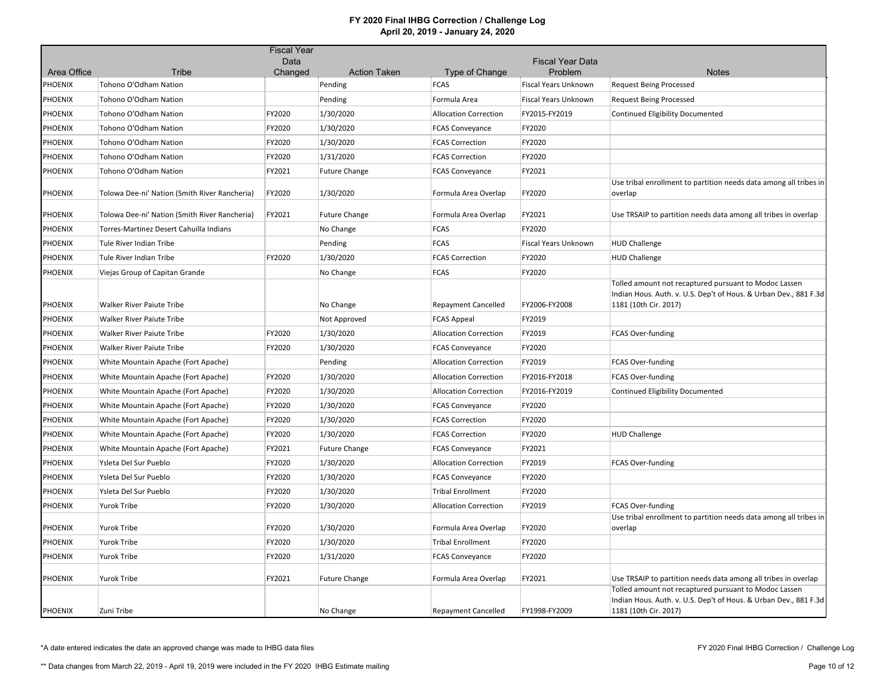|                |                                               | <b>Fiscal Year</b> |                      |                              |                             |                                                                                                                         |
|----------------|-----------------------------------------------|--------------------|----------------------|------------------------------|-----------------------------|-------------------------------------------------------------------------------------------------------------------------|
|                |                                               | Data               |                      |                              | <b>Fiscal Year Data</b>     |                                                                                                                         |
| Area Office    | <b>Tribe</b>                                  | Changed            | <b>Action Taken</b>  | Type of Change               | Problem                     | <b>Notes</b>                                                                                                            |
| PHOENIX        | Tohono O'Odham Nation                         |                    | Pending              | <b>FCAS</b>                  | Fiscal Years Unknown        | <b>Request Being Processed</b>                                                                                          |
| PHOENIX        | Tohono O'Odham Nation                         |                    | Pending              | Formula Area                 | Fiscal Years Unknown        | <b>Request Being Processed</b>                                                                                          |
| PHOENIX        | Tohono O'Odham Nation                         | FY2020             | 1/30/2020            | <b>Allocation Correction</b> | FY2015-FY2019               | Continued Eligibility Documented                                                                                        |
| PHOENIX        | Tohono O'Odham Nation                         | FY2020             | 1/30/2020            | <b>FCAS Conveyance</b>       | FY2020                      |                                                                                                                         |
| PHOENIX        | Tohono O'Odham Nation                         | FY2020             | 1/30/2020            | <b>FCAS Correction</b>       | FY2020                      |                                                                                                                         |
| PHOENIX        | Tohono O'Odham Nation                         | FY2020             | 1/31/2020            | <b>FCAS Correction</b>       | FY2020                      |                                                                                                                         |
| PHOENIX        | Tohono O'Odham Nation                         | FY2021             | <b>Future Change</b> | <b>FCAS Conveyance</b>       | FY2021                      |                                                                                                                         |
| PHOENIX        | Tolowa Dee-ni' Nation (Smith River Rancheria) | FY2020             | 1/30/2020            | Formula Area Overlap         | FY2020                      | Use tribal enrollment to partition needs data among all tribes in<br>overlap                                            |
| PHOENIX        | Tolowa Dee-ni' Nation (Smith River Rancheria) | FY2021             | <b>Future Change</b> | Formula Area Overlap         | FY2021                      | Use TRSAIP to partition needs data among all tribes in overlap                                                          |
| PHOENIX        | Torres-Martinez Desert Cahuilla Indians       |                    | No Change            | <b>FCAS</b>                  | FY2020                      |                                                                                                                         |
| PHOENIX        | Tule River Indian Tribe                       |                    | Pending              | <b>FCAS</b>                  | <b>Fiscal Years Unknown</b> | <b>HUD Challenge</b>                                                                                                    |
| PHOENIX        | Tule River Indian Tribe                       | FY2020             | 1/30/2020            | <b>FCAS Correction</b>       | FY2020                      | <b>HUD Challenge</b>                                                                                                    |
|                |                                               |                    |                      |                              |                             |                                                                                                                         |
| PHOENIX        | Viejas Group of Capitan Grande                |                    | No Change            | <b>FCAS</b>                  | FY2020                      | Tolled amount not recaptured pursuant to Modoc Lassen                                                                   |
| PHOENIX        | <b>Walker River Paiute Tribe</b>              |                    | No Change            | Repayment Cancelled          | FY2006-FY2008               | Indian Hous. Auth. v. U.S. Dep't of Hous. & Urban Dev., 881 F.3d<br>1181 (10th Cir. 2017)                               |
| PHOENIX        | Walker River Paiute Tribe                     |                    | Not Approved         | <b>FCAS Appeal</b>           | FY2019                      |                                                                                                                         |
| PHOENIX        | Walker River Paiute Tribe                     | FY2020             | 1/30/2020            | <b>Allocation Correction</b> | FY2019                      | FCAS Over-funding                                                                                                       |
| PHOENIX        | Walker River Paiute Tribe                     | FY2020             | 1/30/2020            | <b>FCAS Conveyance</b>       | FY2020                      |                                                                                                                         |
| PHOENIX        | White Mountain Apache (Fort Apache)           |                    | Pending              | <b>Allocation Correction</b> | FY2019                      | FCAS Over-funding                                                                                                       |
| PHOENIX        | White Mountain Apache (Fort Apache)           | FY2020             | 1/30/2020            | <b>Allocation Correction</b> | FY2016-FY2018               | <b>FCAS Over-funding</b>                                                                                                |
| PHOENIX        | White Mountain Apache (Fort Apache)           | FY2020             | 1/30/2020            | <b>Allocation Correction</b> | FY2016-FY2019               | <b>Continued Eligibility Documented</b>                                                                                 |
| PHOENIX        | White Mountain Apache (Fort Apache)           | FY2020             | 1/30/2020            | <b>FCAS Conveyance</b>       | FY2020                      |                                                                                                                         |
| PHOENIX        | White Mountain Apache (Fort Apache)           | FY2020             | 1/30/2020            | <b>FCAS Correction</b>       | FY2020                      |                                                                                                                         |
| PHOENIX        | White Mountain Apache (Fort Apache)           | FY2020             | 1/30/2020            | <b>FCAS Correction</b>       | FY2020                      | <b>HUD Challenge</b>                                                                                                    |
| PHOENIX        | White Mountain Apache (Fort Apache)           | FY2021             | <b>Future Change</b> | <b>FCAS Conveyance</b>       | FY2021                      |                                                                                                                         |
| PHOENIX        | Ysleta Del Sur Pueblo                         | FY2020             | 1/30/2020            | <b>Allocation Correction</b> | FY2019                      | FCAS Over-funding                                                                                                       |
| PHOENIX        | Ysleta Del Sur Pueblo                         | FY2020             | 1/30/2020            | <b>FCAS Conveyance</b>       | FY2020                      |                                                                                                                         |
| PHOENIX        | Ysleta Del Sur Pueblo                         | FY2020             | 1/30/2020            | <b>Tribal Enrollment</b>     | FY2020                      |                                                                                                                         |
| <b>PHOENIX</b> | Yurok Tribe                                   | FY2020             | 1/30/2020            | <b>Allocation Correction</b> | FY2019                      | <b>FCAS Over-funding</b>                                                                                                |
|                |                                               |                    |                      |                              |                             | Use tribal enrollment to partition needs data among all tribes in                                                       |
| PHOENIX        | <b>Yurok Tribe</b>                            | FY2020             | 1/30/2020            | Formula Area Overlap         | FY2020                      | overlap                                                                                                                 |
| PHOENIX        | Yurok Tribe                                   | FY2020             | 1/30/2020            | <b>Tribal Enrollment</b>     | FY2020                      |                                                                                                                         |
| PHOENIX        | <b>Yurok Tribe</b>                            | FY2020             | 1/31/2020            | <b>FCAS Conveyance</b>       | FY2020                      |                                                                                                                         |
|                |                                               |                    |                      |                              |                             |                                                                                                                         |
| PHOENIX        | Yurok Tribe                                   | FY2021             | <b>Future Change</b> | Formula Area Overlap         | FY2021                      | Use TRSAIP to partition needs data among all tribes in overlap<br>Tolled amount not recaptured pursuant to Modoc Lassen |
|                |                                               |                    |                      |                              |                             | Indian Hous. Auth. v. U.S. Dep't of Hous. & Urban Dev., 881 F.3d                                                        |
| <b>PHOENIX</b> | Zuni Tribe                                    |                    | No Change            | <b>Repayment Cancelled</b>   | FY1998-FY2009               | 1181 (10th Cir. 2017)                                                                                                   |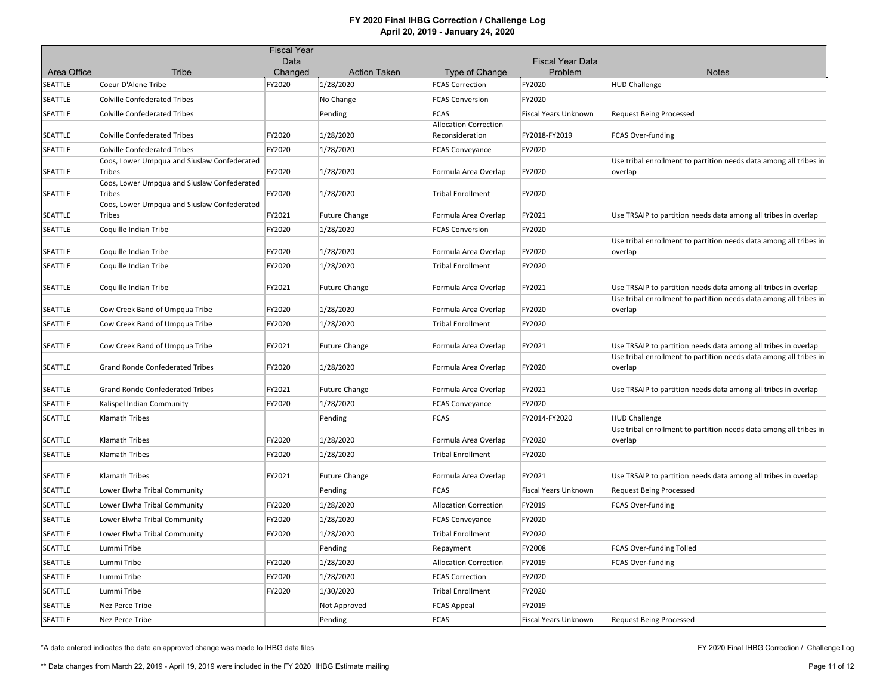|             |                                                       | <b>Fiscal Year</b> |                      |                                                 |                             |                                                                              |
|-------------|-------------------------------------------------------|--------------------|----------------------|-------------------------------------------------|-----------------------------|------------------------------------------------------------------------------|
|             |                                                       | Data               |                      |                                                 | <b>Fiscal Year Data</b>     |                                                                              |
| Area Office | Tribe                                                 | Changed            | <b>Action Taken</b>  | Type of Change                                  | Problem                     | <b>Notes</b>                                                                 |
| SEATTLE     | Coeur D'Alene Tribe                                   | FY2020             | 1/28/2020            | <b>FCAS Correction</b>                          | FY2020                      | <b>HUD Challenge</b>                                                         |
| SEATTLE     | <b>Colville Confederated Tribes</b>                   |                    | No Change            | <b>FCAS Conversion</b>                          | FY2020                      |                                                                              |
| SEATTLE     | <b>Colville Confederated Tribes</b>                   |                    | Pending              | <b>FCAS</b>                                     | Fiscal Years Unknown        | <b>Request Being Processed</b>                                               |
| SEATTLE     | <b>Colville Confederated Tribes</b>                   | FY2020             | 1/28/2020            | <b>Allocation Correction</b><br>Reconsideration | FY2018-FY2019               | FCAS Over-funding                                                            |
| SEATTLE     | <b>Colville Confederated Tribes</b>                   | FY2020             | 1/28/2020            | <b>FCAS Conveyance</b>                          | FY2020                      |                                                                              |
|             | Coos, Lower Umpqua and Siuslaw Confederated           |                    |                      |                                                 |                             | Use tribal enrollment to partition needs data among all tribes in            |
| SEATTLE     | Tribes<br>Coos, Lower Umpqua and Siuslaw Confederated | FY2020             | 1/28/2020            | Formula Area Overlap                            | FY2020                      | overlap                                                                      |
| SEATTLE     | <b>Tribes</b>                                         | FY2020             | 1/28/2020            | <b>Tribal Enrollment</b>                        | FY2020                      |                                                                              |
|             | Coos, Lower Umpqua and Siuslaw Confederated           |                    |                      |                                                 |                             |                                                                              |
| SEATTLE     | <b>Tribes</b>                                         | FY2021             | <b>Future Change</b> | Formula Area Overlap                            | FY2021                      | Use TRSAIP to partition needs data among all tribes in overlap               |
| SEATTLE     | Coquille Indian Tribe                                 | FY2020             | 1/28/2020            | <b>FCAS Conversion</b>                          | FY2020                      |                                                                              |
| SEATTLE     | Coquille Indian Tribe                                 | FY2020             | 1/28/2020            | Formula Area Overlap                            | FY2020                      | Use tribal enrollment to partition needs data among all tribes in<br>overlap |
| SEATTLE     | Coquille Indian Tribe                                 | FY2020             | 1/28/2020            | <b>Tribal Enrollment</b>                        | FY2020                      |                                                                              |
|             |                                                       |                    |                      |                                                 |                             |                                                                              |
| SEATTLE     | Coquille Indian Tribe                                 | FY2021             | <b>Future Change</b> | Formula Area Overlap                            | FY2021                      | Use TRSAIP to partition needs data among all tribes in overlap               |
| SEATTLE     | Cow Creek Band of Umpqua Tribe                        | FY2020             | 1/28/2020            | Formula Area Overlap                            | FY2020                      | Use tribal enrollment to partition needs data among all tribes in<br>overlap |
| SEATTLE     | Cow Creek Band of Umpqua Tribe                        | FY2020             | 1/28/2020            | <b>Tribal Enrollment</b>                        | FY2020                      |                                                                              |
| SEATTLE     | Cow Creek Band of Umpqua Tribe                        | FY2021             | <b>Future Change</b> | Formula Area Overlap                            | FY2021                      | Use TRSAIP to partition needs data among all tribes in overlap               |
| SEATTLE     | <b>Grand Ronde Confederated Tribes</b>                | FY2020             | 1/28/2020            | Formula Area Overlap                            | FY2020                      | Use tribal enrollment to partition needs data among all tribes in<br>overlap |
| SEATTLE     | Grand Ronde Confederated Tribes                       | FY2021             | <b>Future Change</b> | Formula Area Overlap                            | FY2021                      | Use TRSAIP to partition needs data among all tribes in overlap               |
| SEATTLE     | Kalispel Indian Community                             | FY2020             | 1/28/2020            | <b>FCAS Conveyance</b>                          | FY2020                      |                                                                              |
| SEATTLE     | Klamath Tribes                                        |                    | Pending              | <b>FCAS</b>                                     | FY2014-FY2020               | <b>HUD Challenge</b>                                                         |
|             |                                                       |                    |                      |                                                 |                             | Use tribal enrollment to partition needs data among all tribes in            |
| SEATTLE     | Klamath Tribes                                        | FY2020             | 1/28/2020            | Formula Area Overlap                            | FY2020                      | overlap                                                                      |
| SEATTLE     | Klamath Tribes                                        | FY2020             | 1/28/2020            | <b>Tribal Enrollment</b>                        | FY2020                      |                                                                              |
| SEATTLE     | Klamath Tribes                                        | FY2021             | <b>Future Change</b> | Formula Area Overlap                            | FY2021                      | Use TRSAIP to partition needs data among all tribes in overlap               |
| SEATTLE     | Lower Elwha Tribal Community                          |                    | Pending              | <b>FCAS</b>                                     | <b>Fiscal Years Unknown</b> | <b>Request Being Processed</b>                                               |
| SEATTLE     | Lower Elwha Tribal Community                          | FY2020             | 1/28/2020            | <b>Allocation Correction</b>                    | FY2019                      | <b>FCAS Over-funding</b>                                                     |
| SEATTLE     | Lower Elwha Tribal Community                          | FY2020             | 1/28/2020            | <b>FCAS Conveyance</b>                          | FY2020                      |                                                                              |
| SEATTLE     | Lower Elwha Tribal Community                          | FY2020             | 1/28/2020            | <b>Tribal Enrollment</b>                        | FY2020                      |                                                                              |
| SEATTLE     | Lummi Tribe                                           |                    | Pending              | Repayment                                       | FY2008                      | FCAS Over-funding Tolled                                                     |
| SEATTLE     | Lummi Tribe                                           | FY2020             | 1/28/2020            | <b>Allocation Correction</b>                    | FY2019                      | FCAS Over-funding                                                            |
| SEATTLE     | Lummi Tribe                                           | FY2020             | 1/28/2020            | <b>FCAS Correction</b>                          | FY2020                      |                                                                              |
|             |                                                       |                    |                      |                                                 |                             |                                                                              |
| SEATTLE     | Lummi Tribe                                           | FY2020             | 1/30/2020            | <b>Tribal Enrollment</b>                        | FY2020                      |                                                                              |
| SEATTLE     | Nez Perce Tribe                                       |                    | Not Approved         | <b>FCAS Appeal</b>                              | FY2019                      |                                                                              |
| SEATTLE     | Nez Perce Tribe                                       |                    | Pending              | <b>FCAS</b>                                     | <b>Fiscal Years Unknown</b> | <b>Request Being Processed</b>                                               |

\*A date entered indicates the date an approved change was made to IHBG data files

FY 2020 Final IHBG Correction / Challenge Log